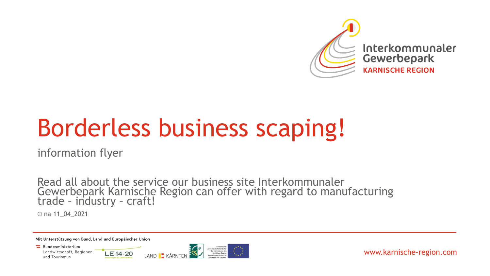

# Borderless business scaping!

information flyer

Read all about the service our business site Interkommunaler Gewerbepark Karnische Region can offer with regard to manufacturing trade – industry – craft!

© na 11\_04\_2021

Mit Unterstützung von Bund, Land und Europäischer Union

Bundesministerium Landwirtschaft, Regionen und Tourismus



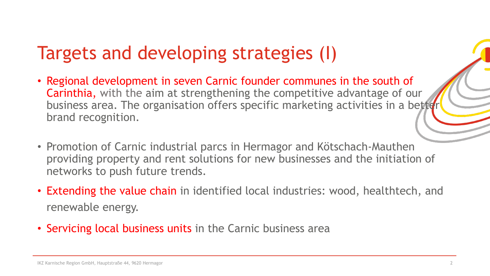# Targets and developing strategies (I)

- Regional development in seven Carnic founder communes in the south of Carinthia, with the aim at strengthening the competitive advantage of our business area. The organisation offers specific marketing activities in a better brand recognition.
- Promotion of Carnic industrial parcs in Hermagor and Kötschach-Mauthen providing property and rent solutions for new businesses and the initiation of networks to push future trends.
- Extending the value chain in identified local industries: wood, healthtech, and renewable energy.
- Servicing local business units in the Carnic business area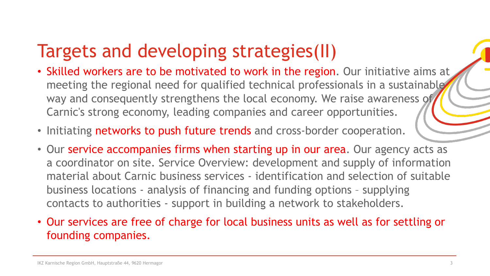# Targets and developing strategies(II)

- Skilled workers are to be motivated to work in the region. Our initiative aims at meeting the regional need for qualified technical professionals in a sustainable way and consequently strengthens the local economy. We raise awareness of Carnic's strong economy, leading companies and career opportunities.
- Initiating networks to push future trends and cross-border cooperation.
- Our service accompanies firms when starting up in our area. Our agency acts as a coordinator on site. Service Overview: development and supply of information material about Carnic business services - identification and selection of suitable business locations - analysis of financing and funding options – supplying contacts to authorities - support in building a network to stakeholders.
- Our services are free of charge for local business units as well as for settling or founding companies.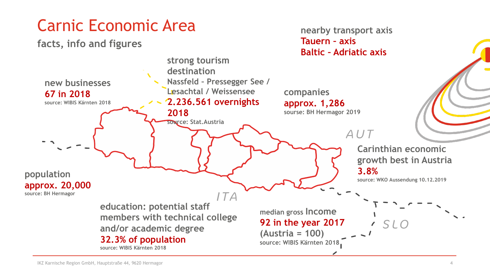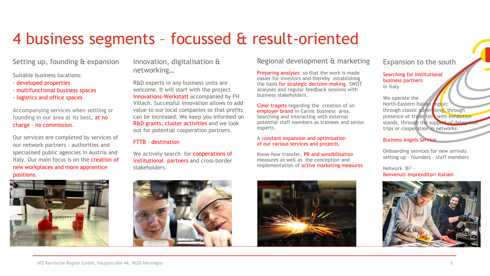### 4 business segments – focussed & result-oriented

Setting up, founding & expansion

Suitable business locations:

- developed properties
- multifunctional business spaces
- logistics and office spaces

Accompanying services when settling or founding in our area at its best, at no charge – no commission.

Our services are completed by services of our network partners - authorities and specialised public agencies in Austria and Italy. Our main focus is on the creation of new workplaces and more apprentice positions.



Innovation, digitalisation & networking…

R&D experts in any business units are welcome. It will start with the project Innovations-Werkstatt accompanied by FH Villach. Successful innovation allows to add value to our local companies so that profits can be increased. We keep you informed on R&D grants, cluster activities and we look out for potential cooperation partners.

#### FTTB – destination

We actively search for **cooperations of** institutional partners and cross-border stakeholders.



**Preparing analyses** so that the work is made easier for investors and thereby establishing the basis for strategic decision-making. SWOT analyses and regular feedback sessions with business stakeholders.

Clear tragets regarding the creation of an employer brand in Carnic business area. Searching and interacting with external potential staff members as trainees and senior experts.

#### A constant expansion and optimisation of our various services and projects.

Know-how transfer, PR and sensibilisation measures as well as the conception and implementation of **active marketing measures** 





Expansion to the south

#### Searching for institutional business partners in Italy

We operate the North-Eastern Italian region: through classic advertising, through presence at trade fairs with exhibition stands, through the support of delegation trips or cooperation in networks.

#### Business Angels Service

Onboarding services for new arrivals setting up – founders – staff members

Network BI² - Benvenuti Imprenditori Italiani

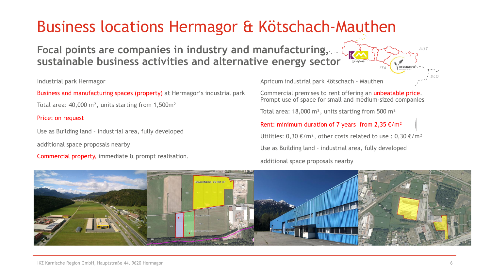### Business locations Hermagor & Kötschach-Mauthen

**Focal points are companies in industry and manufacturing, sustainable business activities and alternative energy sector**

#### Industrial park Hermagor

Business and manufacturing spaces (property) at Hermagor's industrial park

Total area: 40,000 m², units starting from 1,500m²

#### Price: on request

Use as Building land – industrial area, fully developed

additional space proposals nearby

Commercial property, immediate & prompt realisation.

Apricum industrial park Kötschach – Mauthen

Commercial premises to rent offering an unbeatable price. Prompt use of space for small and medium-sized companies

Total area: 18,000 m², units starting from 500 m²

Rent: minimum duration of 7 years from 2,35  $\epsilon/m^2$ Utilities:  $0.30 \text{€/m}^2$ , other costs related to use :  $0.30 \text{€/m}^2$ Use as Building land – industrial area, fully developed additional space proposals nearby



AUT

SLO

HERMAGOR